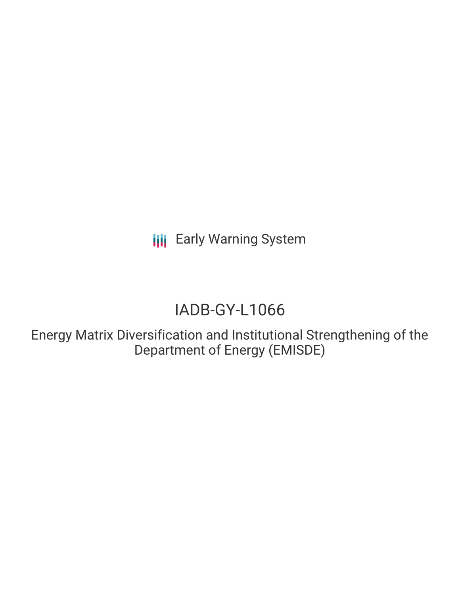# IADB-GY-L1066

Energy Matrix Diversification and Institutional Strengthening of the Department of Energy (EMISDE)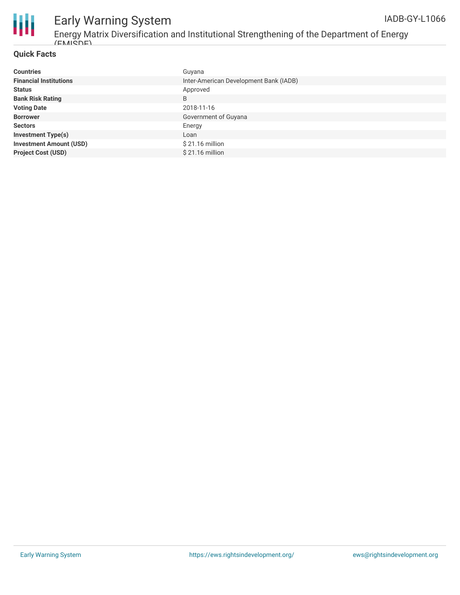



Energy Matrix Diversification and Institutional Strengthening of the Department of Energy  $(ENI)$ 

#### **Quick Facts**

| <b>Countries</b>               | Guyana                                 |
|--------------------------------|----------------------------------------|
| <b>Financial Institutions</b>  | Inter-American Development Bank (IADB) |
| <b>Status</b>                  | Approved                               |
| <b>Bank Risk Rating</b>        | B                                      |
| <b>Voting Date</b>             | 2018-11-16                             |
| <b>Borrower</b>                | Government of Guyana                   |
| <b>Sectors</b>                 | Energy                                 |
| <b>Investment Type(s)</b>      | Loan                                   |
| <b>Investment Amount (USD)</b> | $$21.16$ million                       |
| <b>Project Cost (USD)</b>      | $$21.16$ million                       |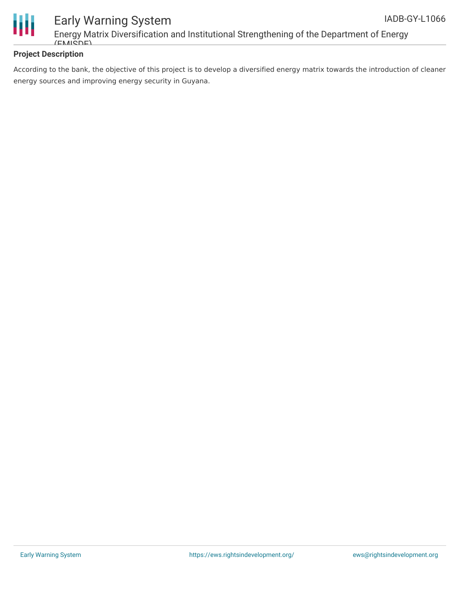

Energy Matrix Diversification and Institutional Strengthening of the Department of Energy  $(FM\widetilde{CDF})$ 

#### **Project Description**

According to the bank, the objective of this project is to develop a diversified energy matrix towards the introduction of cleaner energy sources and improving energy security in Guyana.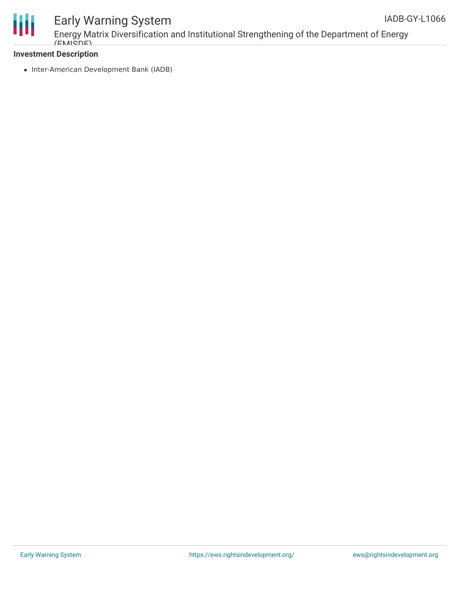

Energy Matrix Diversification and Institutional Strengthening of the Department of Energy  $(FM\widetilde{S}\widetilde{D})$ 

#### **Investment Description**

• Inter-American Development Bank (IADB)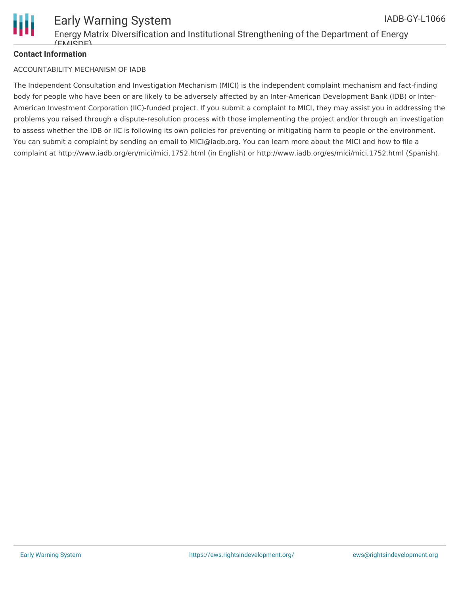

#### **Contact Information**

#### ACCOUNTABILITY MECHANISM OF IADB

The Independent Consultation and Investigation Mechanism (MICI) is the independent complaint mechanism and fact-finding body for people who have been or are likely to be adversely affected by an Inter-American Development Bank (IDB) or Inter-American Investment Corporation (IIC)-funded project. If you submit a complaint to MICI, they may assist you in addressing the problems you raised through a dispute-resolution process with those implementing the project and/or through an investigation to assess whether the IDB or IIC is following its own policies for preventing or mitigating harm to people or the environment. You can submit a complaint by sending an email to MICI@iadb.org. You can learn more about the MICI and how to file a complaint at http://www.iadb.org/en/mici/mici,1752.html (in English) or http://www.iadb.org/es/mici/mici,1752.html (Spanish).